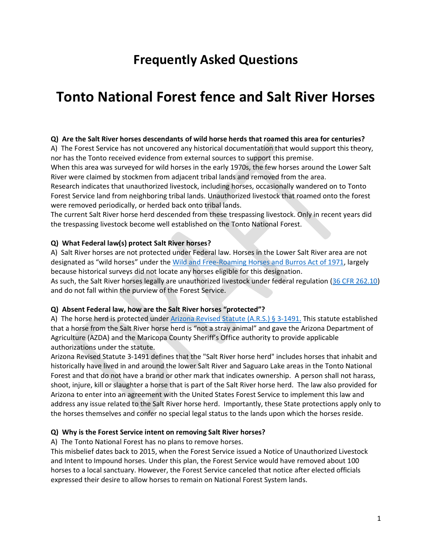## **Frequently Asked Questions**

# **Tonto National Forest fence and Salt River Horses**

#### **Q) Are the Salt River horses descendants of wild horse herds that roamed this area for centuries?**

A) The Forest Service has not uncovered any historical documentation that would support this theory, nor has the Tonto received evidence from external sources to support this premise.

When this area was surveyed for wild horses in the early 1970s, the few horses around the Lower Salt River were claimed by stockmen from adjacent tribal lands and removed from the area.

Research indicates that unauthorized livestock, including horses, occasionally wandered on to Tonto Forest Service land from neighboring tribal lands. Unauthorized livestock that roamed onto the forest were removed periodically, or herded back onto tribal lands.

The current Salt River horse herd descended from these trespassing livestock. Only in recent years did the trespassing livestock become well established on the Tonto National Forest.

#### **Q) What Federal law(s) protect Salt River horses?**

A) Salt River horses are not protected under Federal law. Horses in the Lower Salt River area are not designated as "wild horses" under th[e Wild and Free-Roaming Horses and Burros Act of 1971,](https://www.fs.fed.us/wild-horse-burro/documents/direction/WHBA1971Act_as_amended.pdf) largely because historical surveys did not locate any horses eligible for this designation.

As such, the Salt River horses legally are unauthorized livestock under federal regulation [\(36 CFR 262.10\)](https://www.ecfr.gov/cgi-bin/text-idx?SID=3d511cf2c904a4591ae73962e16ca169&mc=true&node=se36.2.262_110&rgn=div8) and do not fall within the purview of the Forest Service.

#### **Q) Absent Federal law, how are the Salt River horses "protected"?**

A) The horse herd is protected under [Arizona Revised Statute \(A.R.S.\) § 3-1491.](https://www.azleg.gov/ars/3/01491.htm) This statute established that a horse from the Salt River horse herd is "not a stray animal" and gave the Arizona Department of Agriculture (AZDA) and the Maricopa County Sheriff's Office authority to provide applicable authorizations under the statute.

Arizona Revised Statute 3-1491 defines that the "Salt River horse herd" includes horses that inhabit and historically have lived in and around the lower Salt River and Saguaro Lake areas in the Tonto National Forest and that do not have a brand or other mark that indicates ownership. A person shall not harass, shoot, injure, kill or slaughter a horse that is part of the Salt River horse herd. The law also provided for Arizona to enter into an agreement with the United States Forest Service to implement this law and address any issue related to the Salt River horse herd. Importantly, these State protections apply only to the horses themselves and confer no special legal status to the lands upon which the horses reside.

#### **Q) Why is the Forest Service intent on removing Salt River horses?**

A) The Tonto National Forest has no plans to remove horses.

This misbelief dates back to 2015, when the Forest Service issued a Notice of Unauthorized Livestock and Intent to Impound horses. Under this plan, the Forest Service would have removed about 100 horses to a local sanctuary. However, the Forest Service canceled that notice after elected officials expressed their desire to allow horses to remain on National Forest System lands.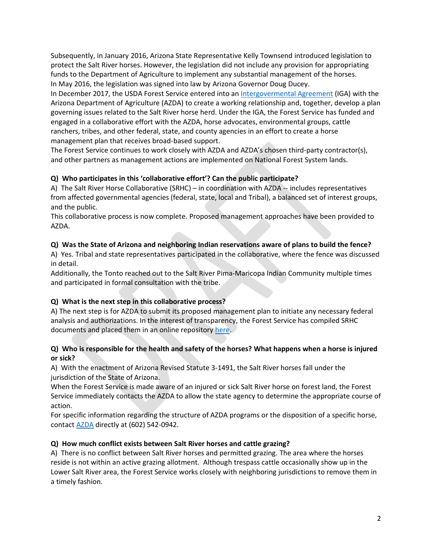Subsequently, in January 2016, Arizona State Representative Kelly Townsend introduced legislation to protect the Salt River horses. However, the legislation did not include any provision for appropriating funds to the Department of Agriculture to implement any substantial management of the horses. In May 2016, the legislation was signed into law by Arizona Governor Doug Ducey.

In December 2017, the USDA Forest Service entered into an [Intergovermental Agreement](https://www.fs.usda.gov/Internet/FSE_DOCUMENTS/fseprd569383.pdf) (IGA) with the Arizona Department of Agriculture (AZDA) to create a working relationship and, together, develop a plan governing issues related to the Salt River horse herd. Under the IGA, the Forest Service has funded and engaged in a collaborative effort with the AZDA, horse advocates, environmental groups, cattle ranchers, tribes, and other federal, state, and county agencies in an effort to create a horse management plan that receives broad-based support.

The Forest Service continues to work closely with AZDA and AZDA's chosen third-party contractor(s), and other partners as management actions are implemented on National Forest System lands.

## **Q) Who participates in this 'collaborative effort'? Can the public participate?**

A) The Salt River Horse Collaborative (SRHC) – in coordination with AZDA -- includes representatives from affected governmental agencies (federal, state, local and Tribal), a balanced set of interest groups, and the public.

This collaborative process is now complete. Proposed management approaches have been provided to AZDA.

## **Q) Was the State of Arizona and neighboring Indian reservations aware of plans to build the fence?**

A) Yes. Tribal and state representatives participated in the collaborative, where the fence was discussed in detail.

Additionally, the Tonto reached out to the Salt River Pima-Maricopa Indian Community multiple times and participated in formal consultation with the tribe.

## **Q) What is the next step in this collaborative process?**

A) The next step is for AZDA to submit its proposed management plan to initiate any necessary federal analysis and authorizations. In the interest of transparency, the Forest Service has compiled SRHC documents and placed them in an online repository [here.](https://usfs-public.app.box.com/v/SaltRiverHorses)

## **Q) Who is responsible for the health and safety of the horses? What happens when a horse is injured or sick?**

A) With the enactment of Arizona Revised Statute 3-1491, the Salt River horses fall under the jurisdiction of the State of Arizona.

When the Forest Service is made aware of an injured or sick Salt River horse on forest land, the Forest Service immediately contacts the AZDA to allow the state agency to determine the appropriate course of action.

For specific information regarding the structure of AZDA programs or the disposition of a specific horse, contact [AZDA](https://agriculture.az.gov/about-us/divisions/animal-services) directly at (602) 542-0942.

## **Q) How much conflict exists between Salt River horses and cattle grazing?**

A) There is no conflict between Salt River horses and permitted grazing. The area where the horses reside is not within an active grazing allotment. Although trespass cattle occasionally show up in the Lower Salt River area, the Forest Service works closely with neighboring jurisdictions to remove them in a timely fashion.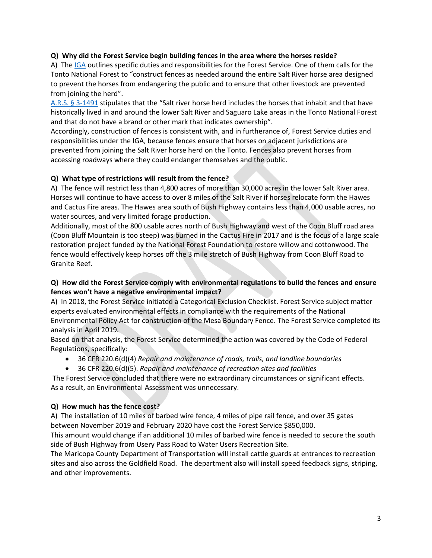#### **Q) Why did the Forest Service begin building fences in the area where the horses reside?**

A) The [IGA](https://www.fs.usda.gov/Internet/FSE_DOCUMENTS/fseprd569383.pdf) outlines specific duties and responsibilities for the Forest Service. One of them calls for the Tonto National Forest to "construct fences as needed around the entire Salt River horse area designed to prevent the horses from endangering the public and to ensure that other livestock are prevented from joining the herd".

[A.R.S. § 3-1491](https://www.azleg.gov/ars/3/01491.htm) stipulates that the "Salt river horse herd includes the horses that inhabit and that have historically lived in and around the lower Salt River and Saguaro Lake areas in the Tonto National Forest and that do not have a brand or other mark that indicates ownership".

Accordingly, construction of fences is consistent with, and in furtherance of, Forest Service duties and responsibilities under the IGA, because fences ensure that horses on adjacent jurisdictions are prevented from joining the Salt River horse herd on the Tonto. Fences also prevent horses from accessing roadways where they could endanger themselves and the public.

#### **Q) What type of restrictions will result from the fence?**

A) The fence will restrict less than 4,800 acres of more than 30,000 acres in the lower Salt River area. Horses will continue to have access to over 8 miles of the Salt River if horses relocate form the Hawes and Cactus Fire areas. The Hawes area south of Bush Highway contains less than 4,000 usable acres, no water sources, and very limited forage production.

Additionally, most of the 800 usable acres north of Bush Highway and west of the Coon Bluff road area (Coon Bluff Mountain is too steep) was burned in the Cactus Fire in 2017 and is the focus of a large scale restoration project funded by the National Forest Foundation to restore willow and cottonwood. The fence would effectively keep horses off the 3 mile stretch of Bush Highway from Coon Bluff Road to Granite Reef.

## **Q) How did the Forest Service comply with environmental regulations to build the fences and ensure fences won't have a negative environmental impact?**

A) In 2018, the Forest Service initiated a Categorical Exclusion Checklist. Forest Service subject matter experts evaluated environmental effects in compliance with the requirements of the National Environmental Policy Act for construction of the Mesa Boundary Fence. The Forest Service completed its analysis in April 2019.

Based on that analysis, the Forest Service determined the action was covered by the Code of Federal Regulations, specifically:

- 36 CFR 220.6(d)(4) *Repair and maintenance of roads, trails, and landline boundaries*
- 36 CFR 220.6(d)(5). *Repair and maintenance of recreation sites and facilities*

The Forest Service concluded that there were no extraordinary circumstances or significant effects. As a result, an Environmental Assessment was unnecessary.

## **Q) How much has the fence cost?**

A) The installation of 10 miles of barbed wire fence, 4 miles of pipe rail fence, and over 35 gates between November 2019 and February 2020 have cost the Forest Service \$850,000.

This amount would change if an additional 10 miles of barbed wire fence is needed to secure the south side of Bush Highway from Usery Pass Road to Water Users Recreation Site.

The Maricopa County Department of Transportation will install cattle guards at entrances to recreation sites and also across the Goldfield Road. The department also will install speed feedback signs, striping, and other improvements.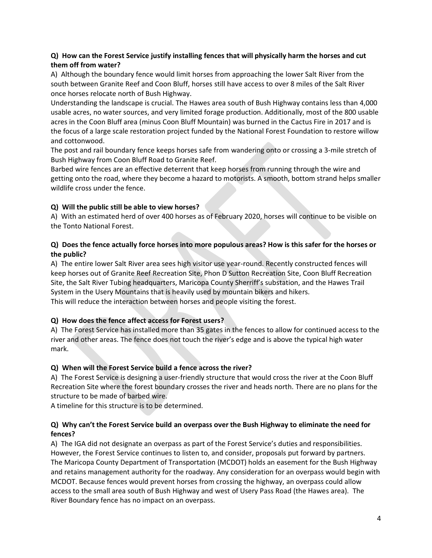## **Q) How can the Forest Service justify installing fences that will physically harm the horses and cut them off from water?**

A) Although the boundary fence would limit horses from approaching the lower Salt River from the south between Granite Reef and Coon Bluff, horses still have access to over 8 miles of the Salt River once horses relocate north of Bush Highway.

Understanding the landscape is crucial. The Hawes area south of Bush Highway contains less than 4,000 usable acres, no water sources, and very limited forage production. Additionally, most of the 800 usable acres in the Coon Bluff area (minus Coon Bluff Mountain) was burned in the Cactus Fire in 2017 and is the focus of a large scale restoration project funded by the National Forest Foundation to restore willow and cottonwood.

The post and rail boundary fence keeps horses safe from wandering onto or crossing a 3-mile stretch of Bush Highway from Coon Bluff Road to Granite Reef.

Barbed wire fences are an effective deterrent that keep horses from running through the wire and getting onto the road, where they become a hazard to motorists. A smooth, bottom strand helps smaller wildlife cross under the fence.

## **Q) Will the public still be able to view horses?**

A) With an estimated herd of over 400 horses as of February 2020, horses will continue to be visible on the Tonto National Forest.

## **Q) Does the fence actually force horses into more populous areas? How is this safer for the horses or the public?**

A) The entire lower Salt River area sees high visitor use year-round. Recently constructed fences will keep horses out of Granite Reef Recreation Site, Phon D Sutton Recreation Site, Coon Bluff Recreation Site, the Salt River Tubing headquarters, Maricopa County Sherriff's substation, and the Hawes Trail System in the Usery Mountains that is heavily used by mountain bikers and hikers. This will reduce the interaction between horses and people visiting the forest.

## **Q) How does the fence affect access for Forest users?**

A) The Forest Service has installed more than 35 gates in the fences to allow for continued access to the river and other areas. The fence does not touch the river's edge and is above the typical high water mark.

## **Q) When will the Forest Service build a fence across the river?**

A) The Forest Service is designing a user-friendly structure that would cross the river at the Coon Bluff Recreation Site where the forest boundary crosses the river and heads north. There are no plans for the structure to be made of barbed wire.

A timeline for this structure is to be determined.

## **Q) Why can't the Forest Service build an overpass over the Bush Highway to eliminate the need for fences?**

A) The IGA did not designate an overpass as part of the Forest Service's duties and responsibilities. However, the Forest Service continues to listen to, and consider, proposals put forward by partners. The Maricopa County Department of Transportation (MCDOT) holds an easement for the Bush Highway and retains management authority for the roadway. Any consideration for an overpass would begin with MCDOT. Because fences would prevent horses from crossing the highway, an overpass could allow access to the small area south of Bush Highway and west of Usery Pass Road (the Hawes area). The River Boundary fence has no impact on an overpass.